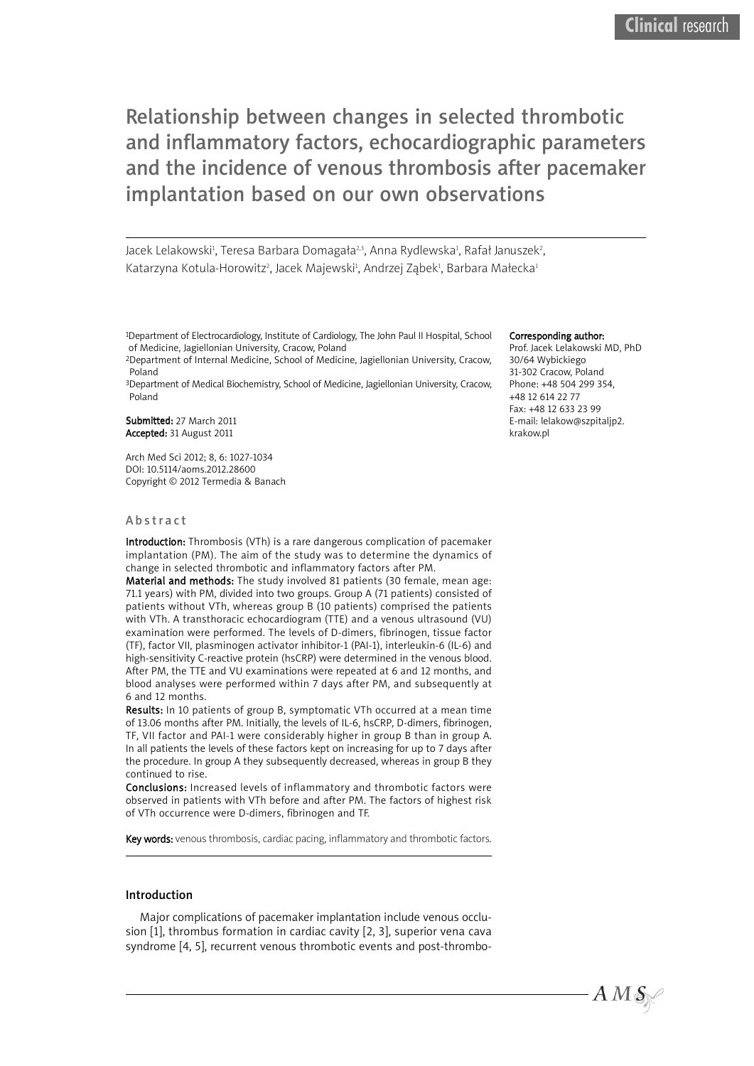Relationship between changes in selected thrombotic and inflammatory factors, echocardiographic parameters and the incidence of venous thrombosis after pacemaker implantation based on our own observations

Jacek Lelakowski<sup>1</sup>, Teresa Barbara Domagała<sup>2,3</sup>, Anna Rydlewska<sup>1</sup>, Rafał Januszek<sup>2</sup>, Katarzyna Kotula-Horowitz<sup>2</sup>, Jacek Majewski<sup>1</sup>, Andrzej Ząbek<sup>1</sup>, Barbara Małecka<sup>1</sup>

1Department of Electrocardiology, Institute of Cardiology, The John Paul II Hospital, School of Medicine, Jagiellonian University, Cracow, Poland

2Department of Internal Medicine, School of Medicine, Jagiellonian University, Cracow, Poland

3Department of Medical Biochemistry, School of Medicine, Jagiellonian University, Cracow, Poland

Submitted: 27 March 2011 Accepted: 31 August 2011

Arch Med Sci 2012; 8, 6: 1027-1034 DOI: 10.5114/aoms.2012.28600 Copyright © 2012 Termedia & Banach

#### **Abstract**

Introduction: Thrombosis (VTh) is a rare dangerous complication of pacemaker implantation (PM). The aim of the study was to determine the dynamics of change in selected thrombotic and inflammatory factors after PM.

Material and methods: The study involved 81 patients (30 female, mean age: 71.1 years) with PM, divided into two groups. Group A (71 patients) consisted of patients without VTh, whereas group B (10 patients) comprised the patients with VTh. A transthoracic echocardiogram (TTE) and a venous ultrasound (VU) examination were performed. The levels of D-dimers, fibrinogen, tissue factor (TF), factor VII, plasminogen activator inhibitor-1 (PAI-1), interleukin-6 (IL-6) and high-sensitivity C-reactive protein (hsCRP) were determined in the venous blood. After PM, the TTE and VU examinations were repeated at 6 and 12 months, and blood analyses were performed within 7 days after PM, and subsequently at 6 and 12 months.

Results: In 10 patients of group B, symptomatic VTh occurred at a mean time of 13.06 months after PM. Initially, the levels of IL-6, hsCRP, D-dimers, fibrinogen, TF, VII factor and PAI-1 were considerably higher in group B than in group A. In all patients the levels of these factors kept on increasing for up to 7 days after the procedure. In group A they subsequently decreased, whereas in group B they continued to rise.

Conclusions: Increased levels of inflammatory and thrombotic factors were observed in patients with VTh before and after PM. The factors of highest risk of VTh occurrence were D-dimers, fibrinogen and TF.

Key words: venous thrombosis, cardiac pacing, inflammatory and thrombotic factors.

### Introduction

Major complications of pacemaker implantation include venous occlusion [1], thrombus formation in cardiac cavity [2, 3], superior vena cava syndrome [4, 5], recurrent venous thrombotic events and post-thrombo-

#### Corresponding author:

Prof. Jacek Lelakowski MD, PhD 30/64 Wybickiego 31-302 Cracow, Poland Phone: +48 504 299 354, +48 12 614 22 77 Fax: +48 12 633 23 99 E-mail: lelakow@szpitaljp2. krakow.pl

 $A\,M\,\mathcal{S}\neq$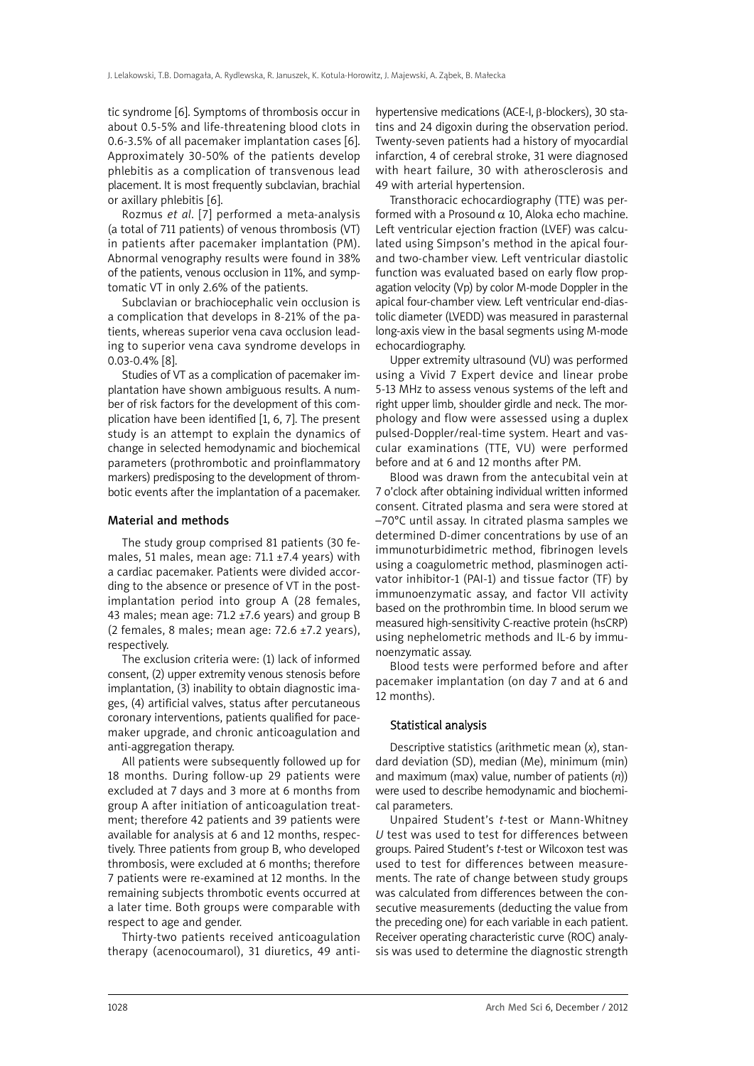tic syndrome [6]. Symptoms of thrombosis occur in about 0.5-5% and life-threatening blood clots in 0.6-3.5% of all pacemaker implantation cases [6]. Approximately 30-50% of the patients develop phlebitis as a complication of transvenous lead placement. It is most frequently subclavian, brachial or axillary phlebitis [6].

Rozmus *et al*. [7] performed a meta-analysis (a total of 711 patients) of venous thrombosis (VT) in patients after pacemaker implantation (PM). Abnormal venography results were found in 38% of the patients, venous occlusion in 11%, and symptomatic VT in only 2.6% of the patients.

Subclavian or brachiocephalic vein occlusion is a complication that develops in 8-21% of the patients, whereas superior vena cava occlusion leading to superior vena cava syndrome develops in 0.03-0.4% [8].

Studies of VT as a complication of pacemaker implantation have shown ambiguous results. A number of risk factors for the development of this complication have been identified [1, 6, 7]. The present study is an attempt to explain the dynamics of change in selected hemodynamic and biochemical parameters (prothrombotic and proinflammatory markers) predisposing to the development of thrombotic events after the implantation of a pacemaker.

#### Material and methods

The study group comprised 81 patients (30 females, 51 males, mean age:  $71.1 \pm 7.4$  years) with a cardiac pacemaker. Patients were divided according to the absence or presence of VT in the postimplantation period into group A (28 females, 43 males; mean age:  $71.2 \pm 7.6$  years) and group B (2 females, 8 males; mean age: 72.6 ±7.2 years), respectively.

The exclusion criteria were: (1) lack of informed consent, (2) upper extremity venous stenosis before implantation, (3) inability to obtain diagnostic images, (4) artificial valves, status after percutaneous coronary interventions, patients qualified for pacemaker upgrade, and chronic anticoagulation and anti-aggregation therapy.

All patients were subsequently followed up for 18 months. During follow-up 29 patients were excluded at 7 days and 3 more at 6 months from group A after initiation of anticoagulation treatment; therefore 42 patients and 39 patients were available for analysis at 6 and 12 months, respectively. Three patients from group B, who developed thrombosis, were excluded at 6 months; therefore 7 patients were re-examined at 12 months. In the remaining subjects thrombotic events occurred at a later time. Both groups were comparable with respect to age and gender.

Thirty-two patients received anticoagulation therapy (acenocoumarol), 31 diuretics, 49 antihypertensive medications (ACE-I, β-blockers), 30 statins and 24 digoxin during the observation period. Twenty-seven patients had a history of myocardial infarction, 4 of cerebral stroke, 31 were diagnosed with heart failure, 30 with atherosclerosis and 49 with arterial hypertension.

Transthoracic echocardiography (TTE) was performed with a Prosound  $\alpha$  10. Aloka echo machine. Left ventricular ejection fraction (LVEF) was calculated using Simpson's method in the apical fourand two-chamber view. Left ventricular diastolic function was evaluated based on early flow propagation velocity (Vp) by color M-mode Doppler in the apical four-chamber view. Left ventricular end-diastolic diameter (LVEDD) was measured in parasternal long-axis view in the basal segments using M-mode echocardiography.

Upper extremity ultrasound (VU) was performed using a Vivid 7 Expert device and linear probe 5-13 MHz to assess venous systems of the left and right upper limb, shoulder girdle and neck. The morphology and flow were assessed using a duplex pulsed-Doppler/real-time system. Heart and vascular examinations (TTE, VU) were performed before and at 6 and 12 months after PM.

Blood was drawn from the antecubital vein at 7 o'clock after obtaining individual written informed consent. Citrated plasma and sera were stored at –70°C until assay. In citrated plasma samples we determined D-dimer concentrations by use of an immunoturbidimetric method, fibrinogen levels using a coagulometric method, plasminogen activator inhibitor-1 (PAI-1) and tissue factor (TF) by immunoenzymatic assay, and factor VII activity based on the prothrombin time. In blood serum we measured high-sensitivity C-reactive protein (hsCRP) using nephelometric methods and IL-6 by immunoenzymatic assay.

Blood tests were performed before and after pacemaker implantation (on day 7 and at 6 and 12 months).

# Statistical analysis

Descriptive statistics (arithmetic mean (*x*), standard deviation (SD), median (Me), minimum (min) and maximum (max) value, number of patients (*n*)) were used to describe hemodynamic and biochemical parameters.

Unpaired Student's *t*-test or Mann-Whitney *U* test was used to test for differences between groups. Paired Student's *t*-test or Wilcoxon test was used to test for differences between measurements. The rate of change between study groups was calculated from differences between the consecutive measurements (deducting the value from the preceding one) for each variable in each patient. Receiver operating characteristic curve (ROC) analysis was used to determine the diagnostic strength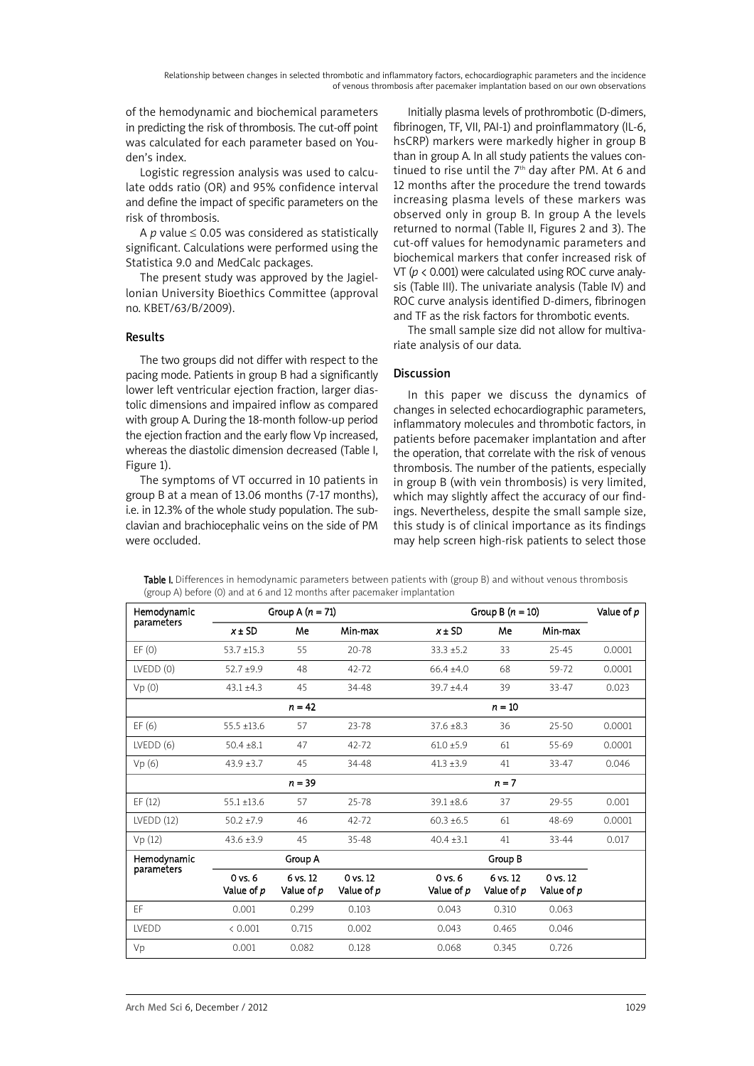of the hemodynamic and biochemical parameters in predicting the risk of thrombosis. The cut-off point was calculated for each parameter based on Youden's index.

Logistic regression analysis was used to calculate odds ratio (OR) and 95% confidence interval and define the impact of specific parameters on the risk of thrombosis.

A  $p$  value  $\leq$  0.05 was considered as statistically significant. Calculations were performed using the Statistica 9.0 and MedCalc packages.

The present study was approved by the Jagiellonian University Bioethics Committee (approval no. KBET/63/B/2009).

# Results

The two groups did not differ with respect to the pacing mode. Patients in group B had a significantly lower left ventricular ejection fraction, larger diastolic dimensions and impaired inflow as compared with group A. During the 18-month follow-up period the ejection fraction and the early flow Vp increased, whereas the diastolic dimension decreased (Table I, Figure 1).

The symptoms of VT occurred in 10 patients in group B at a mean of 13.06 months (7-17 months), i.e. in 12.3% of the whole study population. The subclavian and brachiocephalic veins on the side of PM were occluded.

Initially plasma levels of prothrombotic (D-dimers, fibrinogen, TF, VII, PAI-1) and proinflammatory (IL-6, hsCRP) markers were markedly higher in group B than in group A. In all study patients the values continued to rise until the  $7<sup>th</sup>$  day after PM. At 6 and 12 months after the procedure the trend towards increasing plasma levels of these markers was observed only in group B. In group A the levels returned to normal (Table II, Figures 2 and 3). The cut-off values for hemodynamic parameters and biochemical markers that confer increased risk of VT (*p* < 0.001) were calculated using ROC curve analysis (Table III). The univariate analysis (Table IV) and ROC curve analysis identified D-dimers, fibrinogen and TF as the risk factors for thrombotic events.

The small sample size did not allow for multivariate analysis of our data.

# Discussion

In this paper we discuss the dynamics of changes in selected echocardiographic parameters, inflammatory molecules and thrombotic factors, in patients before pacemaker implantation and after the operation, that correlate with the risk of venous thrombosis. The number of the patients, especially in group B (with vein thrombosis) is very limited, which may slightly affect the accuracy of our findings. Nevertheless, despite the small sample size, this study is of clinical importance as its findings may help screen high-risk patients to select those

| <b>Table I.</b> Differences in hemodynamic parameters between patients with (group B) and without venous thrombosis |  |  |
|---------------------------------------------------------------------------------------------------------------------|--|--|
| (group A) before (0) and at 6 and 12 months after pacemaker implantation                                            |  |  |

| Hemodynamic  | Group A $(n = 71)$        |                               |                               | Group B $(n = 10)$        |                        |                                   |        |
|--------------|---------------------------|-------------------------------|-------------------------------|---------------------------|------------------------|-----------------------------------|--------|
| parameters   | $x \pm SD$                | Me                            | Min-max                       | $x \pm SD$                | Me                     | Min-max                           |        |
| EF(0)        | $53.7 \pm 15.3$           | 55                            | $20 - 78$                     | $33.3 \pm 5.2$            | 33                     | 25-45                             | 0.0001 |
| LVEDD(0)     | $52.7 + 9.9$              | 48                            | 42-72                         | $66.4 \pm 4.0$            | 68                     | 59-72                             | 0.0001 |
| Vp(0)        | $43.1 \pm 4.3$            | 45                            | 34-48                         | $39.7 + 4.4$              | 39                     | 33-47                             | 0.023  |
|              |                           | $n = 42$                      |                               |                           | $n = 10$               |                                   |        |
| EF(6)        | $55.5 \pm 13.6$           | 57                            | 23-78                         | $37.6 \pm 8.3$            | 36                     | 25-50                             | 0.0001 |
| LVEDD(6)     | $50.4 + 8.1$              | 47                            | $42 - 72$                     | $61.0 \pm 5.9$            | 61                     | 55-69                             | 0.0001 |
| Vp(6)        | $43.9 + 3.7$              | 45                            | 34-48                         | $41.3 \pm 3.9$            | 41                     | 33-47                             | 0.046  |
|              |                           | $n = 39$                      |                               |                           | $n = 7$                |                                   |        |
| EF(12)       | $55.1 \pm 13.6$           | 57                            | 25-78                         | $39.1 + 8.6$              | 37                     | 29-55                             | 0.001  |
| LVEDD(12)    | $50.2 \pm 7.9$            | 46                            | $42 - 72$                     | $60.3 \pm 6.5$            | 61                     | 48-69                             | 0.0001 |
| Vp(12)       | $43.6 \pm 3.9$            | 45                            | 35-48                         | $40.4 \pm 3.1$            | 41                     | 33-44                             | 0.017  |
| Hemodynamic  |                           | Group A                       |                               |                           | Group B                |                                   |        |
| parameters   | $0$ vs. $6$<br>Value of p | 6 vs. 12<br>Value of <i>p</i> | 0 vs. 12<br>Value of <i>p</i> | $0$ vs. $6$<br>Value of p | 6 vs. 12<br>Value of p | $0$ vs. $12$<br>Value of <i>p</i> |        |
| FF.          | 0.001                     | 0.299                         | 0.103                         | 0.043                     | 0.310                  | 0.063                             |        |
| <b>IVEDD</b> | < 0.001                   | 0.715                         | 0.002                         | 0.043                     | 0.465                  | 0.046                             |        |
| Vp           | 0.001                     | 0.082                         | 0.128                         | 0.068                     | 0.345                  | 0.726                             |        |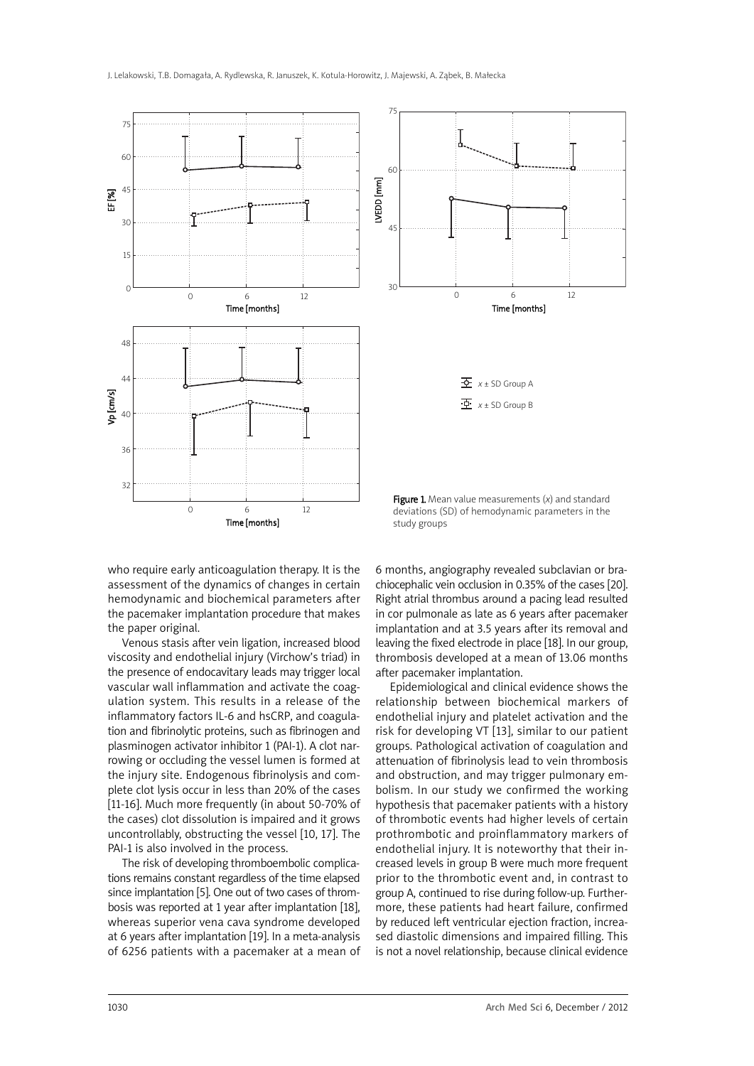

who require early anticoagulation therapy. It is the assessment of the dynamics of changes in certain hemodynamic and biochemical parameters after the pacemaker implantation procedure that makes the paper original.

Venous stasis after vein ligation, increased blood viscosity and endothelial injury (Virchow's triad) in the presence of endocavitary leads may trigger local vascular wall inflammation and activate the coagulation system. This results in a release of the inflammatory factors IL-6 and hsCRP, and coagulation and fibrinolytic proteins, such as fibrinogen and plasminogen activator inhibitor 1 (PAI-1). A clot narrowing or occluding the vessel lumen is formed at the injury site. Endogenous fibrinolysis and complete clot lysis occur in less than 20% of the cases [11-16]. Much more frequently (in about 50-70% of the cases) clot dissolution is impaired and it grows uncontrollably, obstructing the vessel [10, 17]. The PAI-1 is also involved in the process.

The risk of developing thromboembolic complications remains constant regardless of the time elapsed since implantation [5]. One out of two cases of thrombosis was reported at 1 year after implantation [18], whereas superior vena cava syndrome developed at 6 years after implantation [19]. In a meta-analysis of 6256 patients with a pacemaker at a mean of

6 months, angiography revealed subclavian or brachiocephalic vein occlusion in 0.35% of the cases [20]. Right atrial thrombus around a pacing lead resulted in cor pulmonale as late as 6 years after pacemaker implantation and at 3.5 years after its removal and leaving the fixed electrode in place [18]. In our group, thrombosis developed at a mean of 13.06 months after pacemaker implantation.

Epidemiological and clinical evidence shows the relationship between biochemical markers of endothelial injury and platelet activation and the risk for developing VT [13], similar to our patient groups. Pathological activation of coagulation and attenuation of fibrinolysis lead to vein thrombosis and obstruction, and may trigger pulmonary embolism. In our study we confirmed the working hypothesis that pacemaker patients with a history of thrombotic events had higher levels of certain prothrombotic and proinflammatory markers of endothelial injury. It is noteworthy that their increased levels in group B were much more frequent prior to the thrombotic event and, in contrast to group A, continued to rise during follow-up. Furthermore, these patients had heart failure, confirmed by reduced left ventricular ejection fraction, increased diastolic dimensions and impaired filling. This is not a novel relationship, because clinical evidence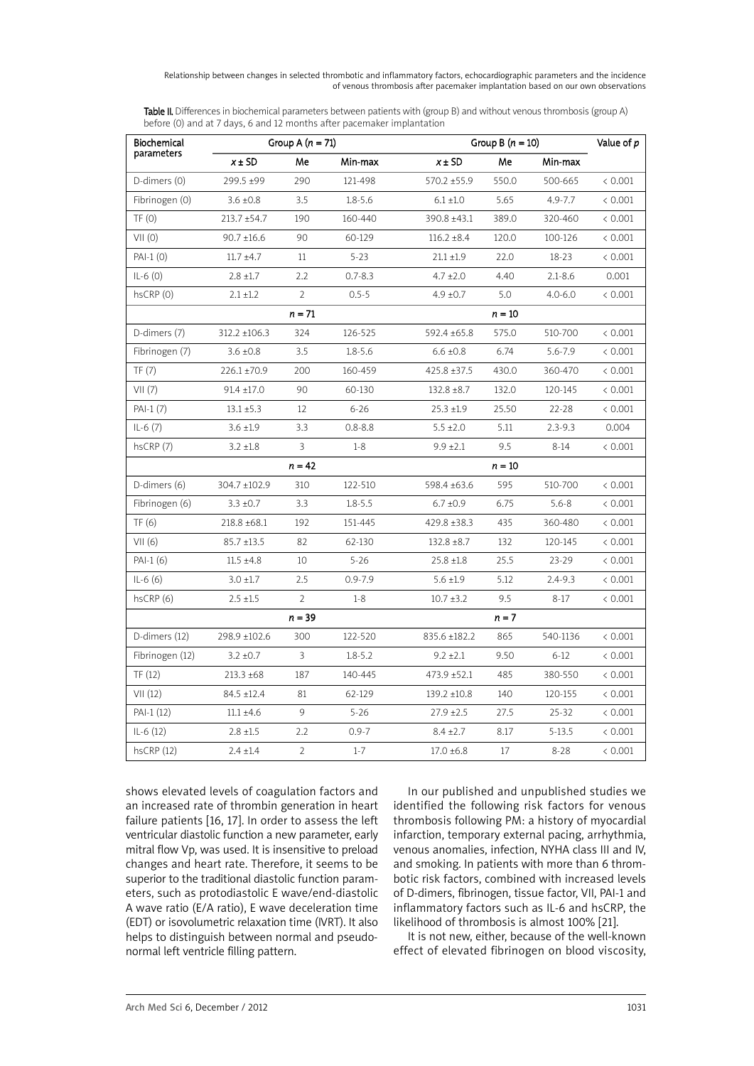Relationship between changes in selected thrombotic and inflammatory factors, echocardiographic parameters and the incidence of venous thrombosis after pacemaker implantation based on our own observations

Table II. Differences in biochemical parameters between patients with (group B) and without venous thrombosis (group A) before (0) and at 7 days, 6 and 12 months after pacemaker implantation

| Biochemical     |                  | Group A $(n = 71)$ |             | Group B $(n = 10)$ |          | Value of p  |         |  |
|-----------------|------------------|--------------------|-------------|--------------------|----------|-------------|---------|--|
| parameters      | $x \pm SD$       | Me                 | Min-max     | $x \pm SD$         | Me       | Min-max     |         |  |
| D-dimers (0)    | 299.5 ±99        | 290                | 121-498     | 570.2 ±55.9        | 550.0    | 500-665     | < 0.001 |  |
| Fibrinogen (0)  | $3.6 \pm 0.8$    | 3.5                | $1.8 - 5.6$ | $6.1 \pm 1.0$      | 5.65     | 4.9-7.7     | < 0.001 |  |
| TF(0)           | $213.7 + 54.7$   | 190                | 160-440     | 390.8 ±43.1        | 389.0    | 320-460     | < 0.001 |  |
| VII(0)          | $90.7 \pm 16.6$  | 90                 | 60-129      | $116.2 \pm 8.4$    | 120.0    | 100-126     | < 0.001 |  |
| $PAI-1$ (0)     | $11.7 \pm 4.7$   | $11\,$             | $5 - 23$    | $21.1 \pm 1.9$     | 22.0     | $18 - 23$   | < 0.001 |  |
| $IL-6(0)$       | $2.8 \pm 1.7$    | 2.2                | $0.7 - 8.3$ | $4.7 \pm 2.0$      | 4.40     | $2.1 - 8.6$ | 0.001   |  |
| hsCRP (0)       | $2.1 \pm 1.2$    | $\mathcal{P}$      | $0.5 - 5$   | $4.9 \pm 0.7$      | 5.0      | $4.0 - 6.0$ | < 0.001 |  |
|                 |                  | $n = 71$           |             |                    | $n = 10$ |             |         |  |
| D-dimers (7)    | 312.2 ±106.3     | 324                | 126-525     | 592.4 ±65.8        | 575.0    | 510-700     | < 0.001 |  |
| Fibrinogen (7)  | $3.6 \pm 0.8$    | 3.5                | $1.8 - 5.6$ | $6.6 \pm 0.8$      | 6.74     | 5.6-7.9     | < 0.001 |  |
| TF(7)           | $226.1 \pm 70.9$ | 200                | 160-459     | $425.8 \pm 37.5$   | 430.0    | 360-470     | < 0.001 |  |
| VII(7)          | $91.4 \pm 17.0$  | 90                 | 60-130      | $132.8 \pm 8.7$    | 132.0    | 120-145     | < 0.001 |  |
| PAI-1 (7)       | $13.1 \pm 5.3$   | 12                 | $6 - 26$    | $25.3 \pm 1.9$     | 25.50    | 22-28       | < 0.001 |  |
| $IL-6(7)$       | $3.6 \pm 1.9$    | 3.3                | $0.8 - 8.8$ | $5.5 \pm 2.0$      | 5.11     | $2.3 - 9.3$ | 0.004   |  |
| hsCRP (7)       | $3.2 \pm 1.8$    | 3                  | $1-8$       | $9.9 \pm 2.1$      | 9.5      | $8 - 14$    | < 0.001 |  |
|                 |                  | $n = 42$           |             |                    | $n = 10$ |             |         |  |
| D-dimers (6)    | 304.7 ±102.9     | 310                | 122-510     | 598.4 ±63.6        | 595      | 510-700     | < 0.001 |  |
| Fibrinogen (6)  | $3.3 \pm 0.7$    | 3.3                | $1.8 - 5.5$ | $6.7 \pm 0.9$      | 6.75     | $5.6 - 8$   | < 0.001 |  |
| TF(6)           | 218.8 ±68.1      | 192                | 151-445     | 429.8 ±38.3        | 435      | 360-480     | < 0.001 |  |
| VII(6)          | $85.7 \pm 13.5$  | 82                 | 62-130      | $132.8 \pm 8.7$    | 132      | 120-145     | < 0.001 |  |
| PAI-1 (6)       | $11.5 \pm 4.8$   | 10                 | $5 - 26$    | $25.8 \pm 1.8$     | 25.5     | $23 - 29$   | < 0.001 |  |
| $IL-6(6)$       | $3.0 \pm 1.7$    | 2.5                | $0.9 - 7.9$ | $5.6 \pm 1.9$      | 5.12     | 2.4-9.3     | < 0.001 |  |
| hsCRP (6)       | $2.5 \pm 1.5$    | $\overline{2}$     | $1 - 8$     | $10.7 \pm 3.2$     | 9.5      | $8 - 17$    | < 0.001 |  |
|                 |                  | $n = 39$           |             |                    | $n = 7$  |             |         |  |
| D-dimers (12)   | 298.9 ±102.6     | 300                | 122-520     | 835.6 ±182.2       | 865      | 540-1136    | < 0.001 |  |
| Fibrinogen (12) | $3.2 \pm 0.7$    | $\overline{3}$     | $1.8 - 5.2$ | $9.2 \pm 2.1$      | 9.50     | $6 - 12$    | < 0.001 |  |
| TF (12)         | $213.3 \pm 68$   | 187                | 140-445     | 473.9 ±52.1        | 485      | 380-550     | < 0.001 |  |
| VII(12)         | 84.5 ±12.4       | 81                 | 62-129      | 139.2 ±10.8        | 140      | 120-155     | < 0.001 |  |
| PAI-1 (12)      | $11.1 \pm 4.6$   | 9                  | $5 - 26$    | $27.9 \pm 2.5$     | 27.5     | $25 - 32$   | < 0.001 |  |
| $IL-6(12)$      | $2.8 \pm 1.5$    | 2.2                | $0.9 - 7$   | $8.4 \pm 2.7$      | 8.17     | 5-13.5      | < 0.001 |  |
| hscRP(12)       | $2.4 \pm 1.4$    | 2                  | $1 - 7$     | $17.0 \pm 6.8$     | 17       | $8 - 28$    | < 0.001 |  |

shows elevated levels of coagulation factors and an increased rate of thrombin generation in heart failure patients [16, 17]. In order to assess the left ventricular diastolic function a new parameter, early mitral flow Vp, was used. It is insensitive to preload changes and heart rate. Therefore, it seems to be superior to the traditional diastolic function parameters, such as protodiastolic E wave/end-diastolic A wave ratio (E/A ratio), E wave deceleration time (EDT) or isovolumetric relaxation time (IVRT). It also helps to distinguish between normal and pseudonormal left ventricle filling pattern.

In our published and unpublished studies we identified the following risk factors for venous thrombosis following PM: a history of myocardial infarction, temporary external pacing, arrhythmia, venous anomalies, infection, NYHA class III and IV, and smoking. In patients with more than 6 thrombotic risk factors, combined with increased levels of D-dimers, fibrinogen, tissue factor, VII, PAI-1 and inflammatory factors such as IL-6 and hsCRP, the likelihood of thrombosis is almost 100% [21].

It is not new, either, because of the well-known effect of elevated fibrinogen on blood viscosity,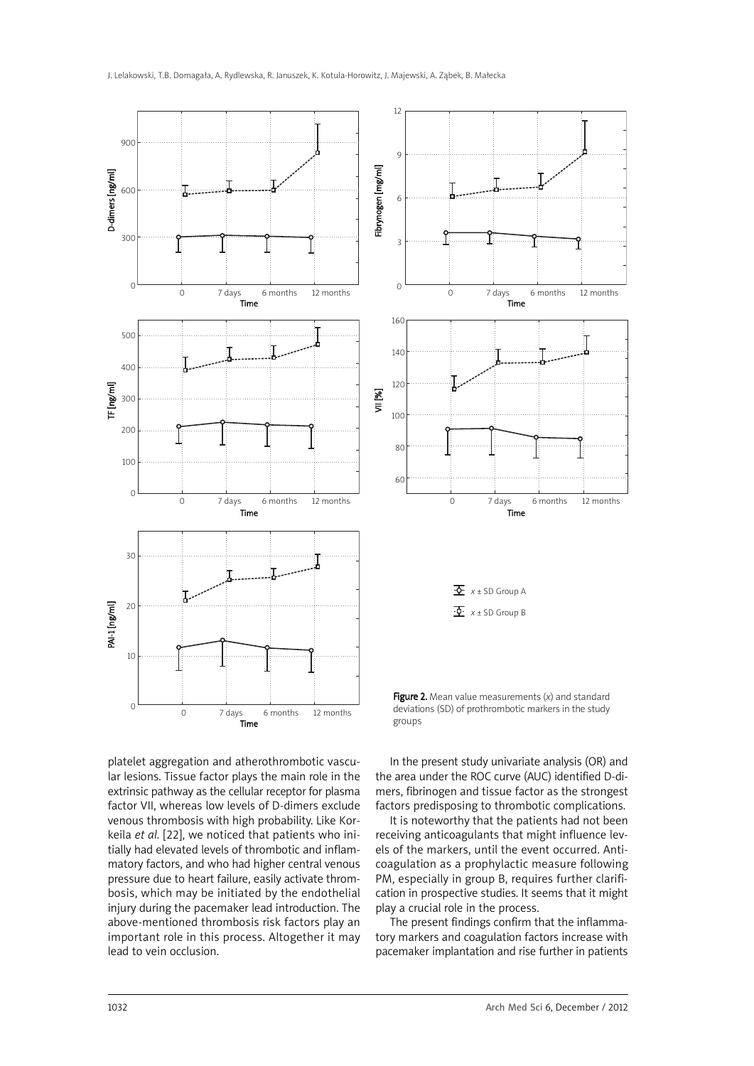

platelet aggregation and atherothrombotic vascular lesions. Tissue factor plays the main role in the extrinsic pathway as the cellular receptor for plasma factor VII, whereas low levels of D-dimers exclude venous thrombosis with high probability. Like Korkeila *et al.* [22], we noticed that patients who initially had elevated levels of thrombotic and inflammatory factors, and who had higher central venous pressure due to heart failure, easily activate thrombosis, which may be initiated by the endothelial injury during the pacemaker lead introduction. The above-mentioned thrombosis risk factors play an important role in this process. Altogether it may lead to vein occlusion.

In the present study univariate analysis (OR) and the area under the ROC curve (AUC) identified D-dimers, fibrinogen and tissue factor as the strongest factors predisposing to thrombotic complications.

It is noteworthy that the patients had not been receiving anticoagulants that might influence levels of the markers, until the event occurred. Anticoagulation as a prophylactic measure following PM, especially in group B, requires further clarification in prospective studies. It seems that it might play a crucial role in the process.

The present findings confirm that the inflammatory markers and coagulation factors increase with pacemaker implantation and rise further in patients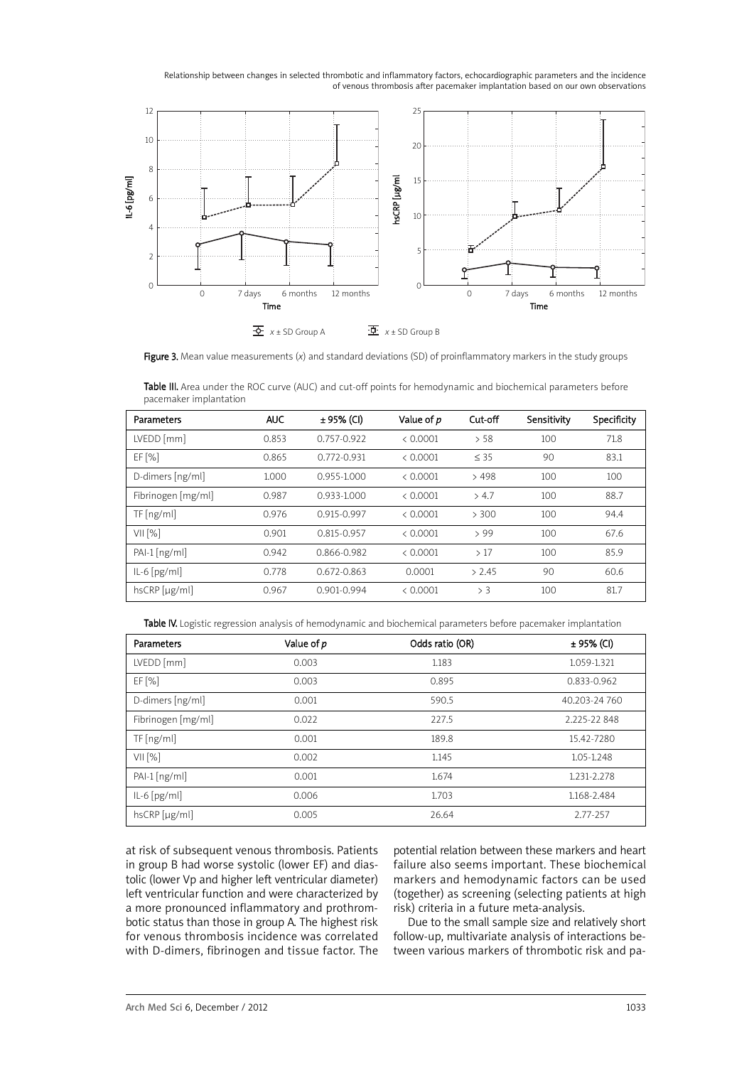Relationship between changes in selected thrombotic and inflammatory factors, echocardiographic parameters and the incidence of venous thrombosis after pacemaker implantation based on our own observations



Figure 3. Mean value measurements (*x*) and standard deviations (SD) of proinflammatory markers in the study groups

Table III. Area under the ROC curve (AUC) and cut-off points for hemodynamic and biochemical parameters before pacemaker implantation

| Parameters         | <b>AUC</b> | ± 95% (CI)      | Value of <i>p</i> | Cut-off   | Sensitivity | Specificity |
|--------------------|------------|-----------------|-------------------|-----------|-------------|-------------|
| $LVEDD$ [mm]       | 0.853      | $0.757 - 0.922$ | < 0.0001          | > 58      | 100         | 71.8        |
| $EF$ [%]           | 0.865      | $0.772 - 0.931$ | & 0.0001          | $\leq$ 35 | 90          | 83.1        |
| D-dimers [ng/ml]   | 1.000      | $0.955 - 1.000$ | < 0.0001          | >498      | 100         | 100         |
| Fibrinogen [mg/ml] | 0.987      | 0.933-1.000     | < 0.0001          | > 4.7     | 100         | 88.7        |
| TF[ng/ml]          | 0.976      | 0.915-0.997     | < 0.0001          | > 300     | 100         | 94.4        |
| VII[%]             | 0.901      | 0.815-0.957     | < 0.0001          | >99       | 100         | 67.6        |
| $PAI-I[ng/ml]$     | 0.942      | 0.866-0.982     | < 0.0001          | >17       | 100         | 85.9        |
| $ L-6[pg/ml]$      | 0.778      | $0.672 - 0.863$ | 0.0001            | > 2.45    | 90          | 60.6        |
| $hscRP$ [µg/ml]    | 0.967      | $0.901 - 0.994$ | < 0.0001          | > 3       | 100         | 81.7        |

Table IV. Logistic regression analysis of hemodynamic and biochemical parameters before pacemaker implantation

| Parameters         | Value of p | Odds ratio (OR) | ± 95% (CI)    |
|--------------------|------------|-----------------|---------------|
| LVEDD [mm]         | 0.003      | 1.183           | 1.059-1.321   |
| EF[%]              | 0.003      | 0.895           | 0.833-0.962   |
| D-dimers [ng/ml]   | 0.001      | 590.5           | 40.203-24 760 |
| Fibrinogen [mg/ml] | 0.022      | 227.5           | 2.225-22848   |
| TF[ng/ml]          | 0.001      | 189.8           | 15.42-7280    |
| VII[%]             | 0.002      | 1.145           | 1.05-1.248    |
| $PAI-I[ng/ml]$     | 0.001      | 1.674           | 1.231-2.278   |
| $IL-6[pg/ml]$      | 0.006      | 1.703           | 1.168-2.484   |
| hsCRP [µg/ml]      | 0.005      | 26.64           | 2.77-257      |

at risk of subsequent venous thrombosis. Patients in group B had worse systolic (lower EF) and diastolic (lower Vp and higher left ventricular diameter) left ventricular function and were characterized by a more pronounced inflammatory and prothrombotic status than those in group A. The highest risk for venous thrombosis incidence was correlated with D-dimers, fibrinogen and tissue factor. The potential relation between these markers and heart failure also seems important. These biochemical markers and hemodynamic factors can be used (together) as screening (selecting patients at high risk) criteria in a future meta-analysis.

Due to the small sample size and relatively short follow-up, multivariate analysis of interactions between various markers of thrombotic risk and pa